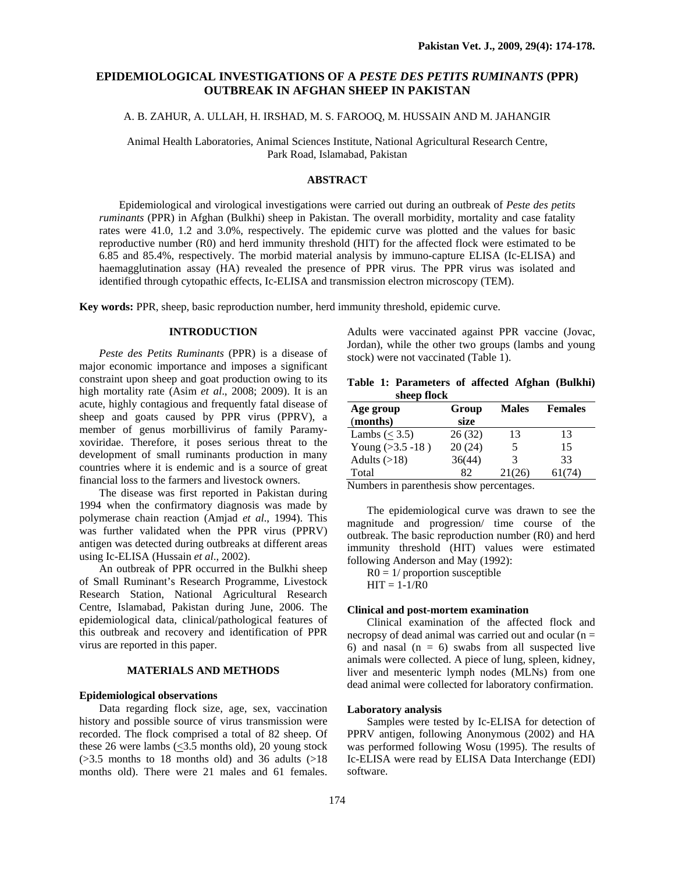## **EPIDEMIOLOGICAL INVESTIGATIONS OF A** *PESTE DES PETITS RUMINANTS* **(PPR) OUTBREAK IN AFGHAN SHEEP IN PAKISTAN**

## A. B. ZAHUR, A. ULLAH, H. IRSHAD, M. S. FAROOQ, M. HUSSAIN AND M. JAHANGIR

Animal Health Laboratories, Animal Sciences Institute, National Agricultural Research Centre, Park Road, Islamabad, Pakistan

## **ABSTRACT**

Epidemiological and virological investigations were carried out during an outbreak of *Peste des petits ruminants* (PPR) in Afghan (Bulkhi) sheep in Pakistan. The overall morbidity, mortality and case fatality rates were 41.0, 1.2 and 3.0%, respectively. The epidemic curve was plotted and the values for basic reproductive number (R0) and herd immunity threshold (HIT) for the affected flock were estimated to be 6.85 and 85.4%, respectively. The morbid material analysis by immuno-capture ELISA (Ic-ELISA) and haemagglutination assay (HA) revealed the presence of PPR virus. The PPR virus was isolated and identified through cytopathic effects, Ic-ELISA and transmission electron microscopy (TEM).

**Key words:** PPR, sheep, basic reproduction number, herd immunity threshold, epidemic curve.

#### **INTRODUCTION**

*Peste des Petits Ruminants* (PPR) is a disease of major economic importance and imposes a significant constraint upon sheep and goat production owing to its high mortality rate (Asim *et al*., 2008; 2009). It is an acute, highly contagious and frequently fatal disease of sheep and goats caused by PPR virus (PPRV), a member of genus morbillivirus of family Paramyxoviridae. Therefore, it poses serious threat to the development of small ruminants production in many countries where it is endemic and is a source of great financial loss to the farmers and livestock owners.

The disease was first reported in Pakistan during 1994 when the confirmatory diagnosis was made by polymerase chain reaction (Amjad *et al*., 1994). This was further validated when the PPR virus (PPRV) antigen was detected during outbreaks at different areas using Ic-ELISA (Hussain *et al*., 2002).

An outbreak of PPR occurred in the Bulkhi sheep of Small Ruminant's Research Programme, Livestock Research Station, National Agricultural Research Centre, Islamabad, Pakistan during June, 2006. The epidemiological data, clinical/pathological features of this outbreak and recovery and identification of PPR virus are reported in this paper.

## **MATERIALS AND METHODS**

#### **Epidemiological observations**

Data regarding flock size, age, sex, vaccination history and possible source of virus transmission were recorded. The flock comprised a total of 82 sheep. Of these 26 were lambs  $(\leq)3.5$  months old), 20 young stock  $($ >3.5 months to 18 months old) and 36 adults  $($ >18 months old). There were 21 males and 61 females.

Adults were vaccinated against PPR vaccine (Jovac, Jordan), while the other two groups (lambs and young stock) were not vaccinated (Table 1).

|  | Table 1: Parameters of affected Afghan (Bulkhi) |  |  |
|--|-------------------------------------------------|--|--|
|  | sheep flock                                     |  |  |

| Age group            | Group  | <b>Males</b> | <b>Females</b> |  |
|----------------------|--------|--------------|----------------|--|
| (months)             | size   |              |                |  |
| Lambs $(< 3.5)$      | 26(32) | 13           | 13             |  |
| Young $( >3.5 -18 )$ | 20(24) | 5            | 15             |  |
| Adults $(>18)$       | 36(44) | 3            | 33             |  |
| Total                | 82     | 21(26)       | 61(74)         |  |

Numbers in parenthesis show percentages.

The epidemiological curve was drawn to see the magnitude and progression/ time course of the outbreak. The basic reproduction number (R0) and herd immunity threshold (HIT) values were estimated following Anderson and May (1992):

 $R0 = 1/$  proportion susceptible  $HIT = 1-1/R0$ 

#### **Clinical and post-mortem examination**

Clinical examination of the affected flock and necropsy of dead animal was carried out and ocular  $(n =$ 6) and nasal  $(n = 6)$  swabs from all suspected live animals were collected. A piece of lung, spleen, kidney, liver and mesenteric lymph nodes (MLNs) from one dead animal were collected for laboratory confirmation.

#### **Laboratory analysis**

Samples were tested by Ic-ELISA for detection of PPRV antigen, following Anonymous (2002) and HA was performed following Wosu (1995). The results of Ic-ELISA were read by ELISA Data Interchange (EDI) software.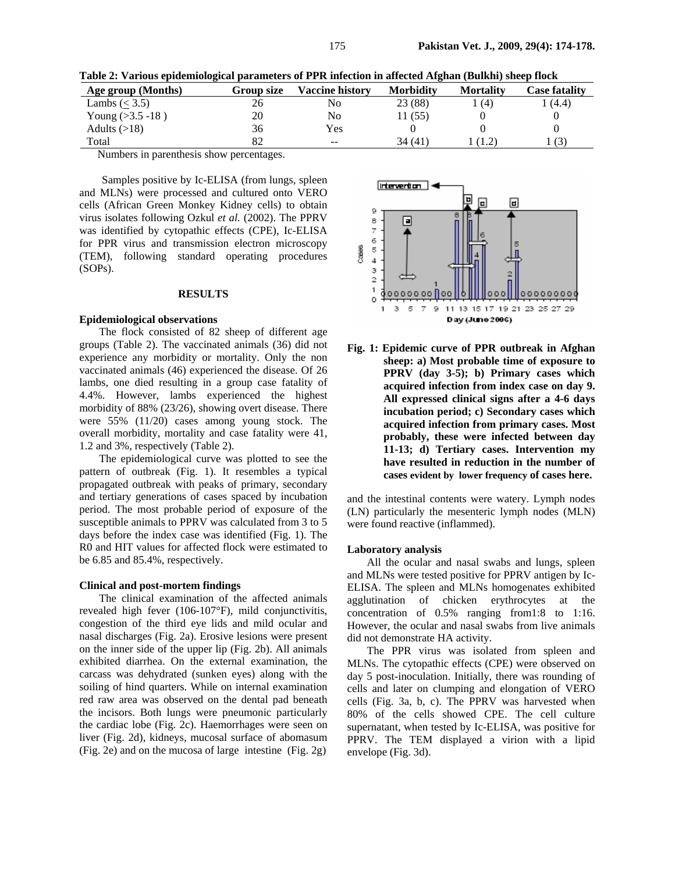| Table 2: Various epidemiological parameters of PPR infection in affected Afghan (Bulkhi) sheep flock |  |  |  |
|------------------------------------------------------------------------------------------------------|--|--|--|
|------------------------------------------------------------------------------------------------------|--|--|--|

| Age group (Months)   | Group size | <b>Vaccine historv</b> | <b>Morbidity</b> | <b>Mortality</b> | <b>Case fatality</b> |
|----------------------|------------|------------------------|------------------|------------------|----------------------|
| Lambs $(< 3.5)$      | 26         | No                     | 23 (88)          | (4)              | (4.4)                |
| Young $( >3.5 -18 )$ | 20         | No                     | 1(55)            |                  |                      |
| Adults $(>18)$       | 36         | Yes                    |                  |                  |                      |
| Total                | 82         | $- -$                  | 34 (41)          | (1.2)            | (3)                  |

Numbers in parenthesis show percentages.

 Samples positive by Ic-ELISA (from lungs, spleen and MLNs) were processed and cultured onto VERO cells (African Green Monkey Kidney cells) to obtain virus isolates following Ozkul *et al.* (2002). The PPRV was identified by cytopathic effects (CPE), Ic-ELISA for PPR virus and transmission electron microscopy (TEM), following standard operating procedures (SOPs).

## **RESULTS**

## **Epidemiological observations**

The flock consisted of 82 sheep of different age groups (Table 2). The vaccinated animals (36) did not experience any morbidity or mortality. Only the non vaccinated animals (46) experienced the disease. Of 26 lambs, one died resulting in a group case fatality of 4.4%. However, lambs experienced the highest morbidity of 88% (23/26), showing overt disease. There were 55% (11/20) cases among young stock. The overall morbidity, mortality and case fatality were 41, 1.2 and 3%, respectively (Table 2).

The epidemiological curve was plotted to see the pattern of outbreak (Fig. 1). It resembles a typical propagated outbreak with peaks of primary, secondary and tertiary generations of cases spaced by incubation period. The most probable period of exposure of the susceptible animals to PPRV was calculated from 3 to 5 days before the index case was identified (Fig. 1). The R0 and HIT values for affected flock were estimated to be 6.85 and 85.4%, respectively.

#### **Clinical and post-mortem findings**

The clinical examination of the affected animals revealed high fever (106-107°F), mild conjunctivitis, congestion of the third eye lids and mild ocular and nasal discharges (Fig. 2a). Erosive lesions were present on the inner side of the upper lip (Fig. 2b). All animals exhibited diarrhea. On the external examination, the carcass was dehydrated (sunken eyes) along with the soiling of hind quarters. While on internal examination red raw area was observed on the dental pad beneath the incisors. Both lungs were pneumonic particularly the cardiac lobe (Fig. 2c). Haemorrhages were seen on liver (Fig. 2d), kidneys, mucosal surface of abomasum (Fig. 2e) and on the mucosa of large intestine (Fig. 2g)



**Fig. 1: Epidemic curve of PPR outbreak in Afghan sheep: a) Most probable time of exposure to PPRV (day 3-5); b) Primary cases which acquired infection from index case on day 9. All expressed clinical signs after a 4-6 days incubation period; c) Secondary cases which acquired infection from primary cases. Most probably, these were infected between day 11-13; d) Tertiary cases. Intervention my have resulted in reduction in the number of cases evident by lower frequency of cases here.** 

and the intestinal contents were watery. Lymph nodes (LN) particularly the mesenteric lymph nodes (MLN) were found reactive (inflammed).

#### **Laboratory analysis**

All the ocular and nasal swabs and lungs, spleen and MLNs were tested positive for PPRV antigen by Ic-ELISA. The spleen and MLNs homogenates exhibited agglutination of chicken erythrocytes at the concentration of 0.5% ranging from1:8 to 1:16. However, the ocular and nasal swabs from live animals did not demonstrate HA activity.

The PPR virus was isolated from spleen and MLNs. The cytopathic effects (CPE) were observed on day 5 post-inoculation. Initially, there was rounding of cells and later on clumping and elongation of VERO cells (Fig. 3a, b, c). The PPRV was harvested when 80% of the cells showed CPE. The cell culture supernatant, when tested by Ic-ELISA, was positive for PPRV. The TEM displayed a virion with a lipid envelope (Fig. 3d).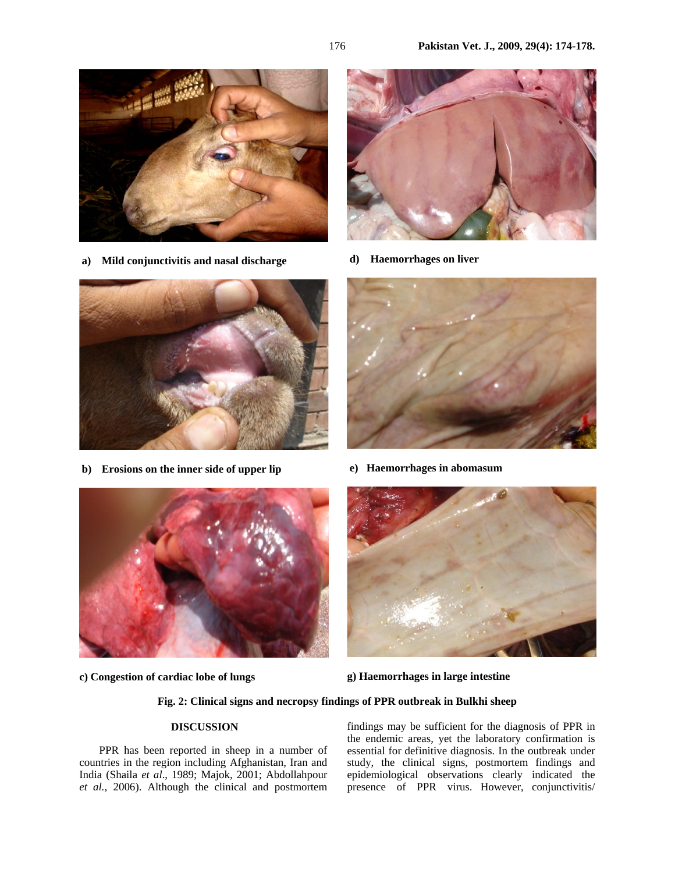





**d) Haemorrhages on liver** 



**b) Erosions on the inner side of upper lip** 



**e) Haemorrhages in abomasum** 



**c) Congestion of cardiac lobe of lungs** 



**g) Haemorrhages in large intestine** 

## **Fig. 2: Clinical signs and necropsy findings of PPR outbreak in Bulkhi sheep**

# **DISCUSSION**

PPR has been reported in sheep in a number of countries in the region including Afghanistan, Iran and India (Shaila *et al*., 1989; Majok, 2001; Abdollahpour *et al.,* 2006). Although the clinical and postmortem

findings may be sufficient for the diagnosis of PPR in the endemic areas, yet the laboratory confirmation is essential for definitive diagnosis. In the outbreak under study, the clinical signs, postmortem findings and epidemiological observations clearly indicated the presence of PPR virus. However, conjunctivitis/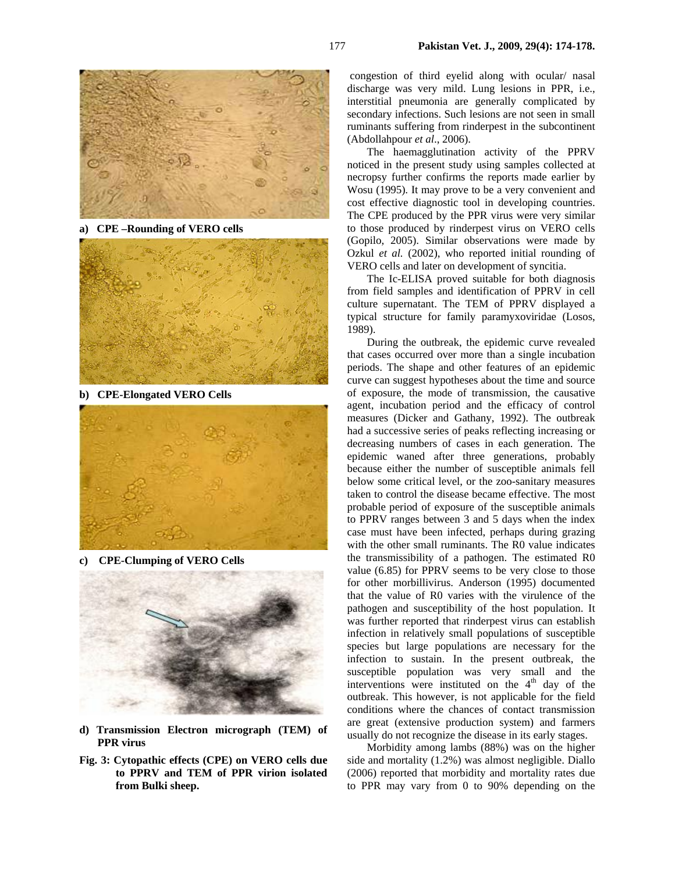

**a) CPE –Rounding of VERO cells** 



**b) CPE-Elongated VERO Cells** 



**c) CPE-Clumping of VERO Cells** 



- **d) Transmission Electron micrograph (TEM) of PPR virus**
- **Fig. 3: Cytopathic effects (CPE) on VERO cells due to PPRV and TEM of PPR virion isolated from Bulki sheep.**

 congestion of third eyelid along with ocular/ nasal discharge was very mild. Lung lesions in PPR, i.e., interstitial pneumonia are generally complicated by secondary infections. Such lesions are not seen in small ruminants suffering from rinderpest in the subcontinent (Abdollahpour *et al*., 2006).

The haemagglutination activity of the PPRV noticed in the present study using samples collected at necropsy further confirms the reports made earlier by Wosu (1995)*.* It may prove to be a very convenient and cost effective diagnostic tool in developing countries. The CPE produced by the PPR virus were very similar to those produced by rinderpest virus on VERO cells (Gopilo, 2005). Similar observations were made by Ozkul *et al.* (2002), who reported initial rounding of VERO cells and later on development of syncitia.

The Ic-ELISA proved suitable for both diagnosis from field samples and identification of PPRV in cell culture supernatant. The TEM of PPRV displayed a typical structure for family paramyxoviridae (Losos, 1989).

During the outbreak, the epidemic curve revealed that cases occurred over more than a single incubation periods. The shape and other features of an epidemic curve can suggest hypotheses about the time and source of exposure, the mode of transmission, the causative agent, incubation period and the efficacy of control measures (Dicker and Gathany, 1992). The outbreak had a successive series of peaks reflecting increasing or decreasing numbers of cases in each generation. The epidemic waned after three generations, probably because either the number of susceptible animals fell below some critical level, or the zoo-sanitary measures taken to control the disease became effective. The most probable period of exposure of the susceptible animals to PPRV ranges between 3 and 5 days when the index case must have been infected, perhaps during grazing with the other small ruminants. The R0 value indicates the transmissibility of a pathogen. The estimated R0 value (6.85) for PPRV seems to be very close to those for other morbillivirus. Anderson (1995) documented that the value of R0 varies with the virulence of the pathogen and susceptibility of the host population. It was further reported that rinderpest virus can establish infection in relatively small populations of susceptible species but large populations are necessary for the infection to sustain. In the present outbreak, the susceptible population was very small and the interventions were instituted on the  $4<sup>th</sup>$  day of the outbreak. This however, is not applicable for the field conditions where the chances of contact transmission are great (extensive production system) and farmers usually do not recognize the disease in its early stages.

Morbidity among lambs (88%) was on the higher side and mortality (1.2%) was almost negligible. Diallo (2006) reported that morbidity and mortality rates due to PPR may vary from 0 to 90% depending on the